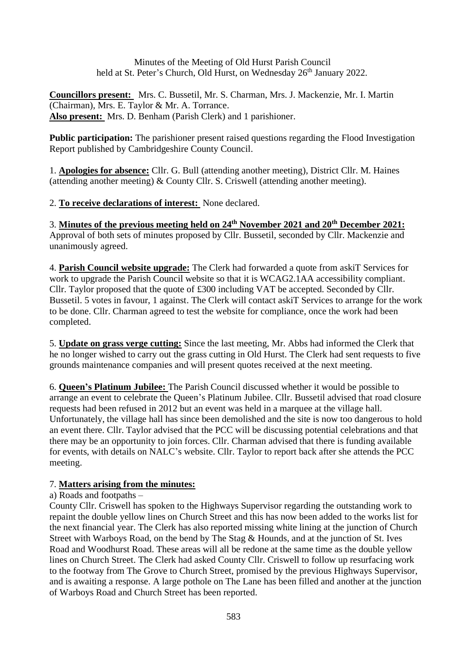Minutes of the Meeting of Old Hurst Parish Council held at St. Peter's Church, Old Hurst, on Wednesday 26<sup>th</sup> January 2022.

**Councillors present:** Mrs. C. Bussetil, Mr. S. Charman, Mrs. J. Mackenzie, Mr. I. Martin (Chairman), Mrs. E. Taylor & Mr. A. Torrance. **Also present:** Mrs. D. Benham (Parish Clerk) and 1 parishioner.

**Public participation:** The parishioner present raised questions regarding the Flood Investigation Report published by Cambridgeshire County Council.

1. **Apologies for absence:** Cllr. G. Bull (attending another meeting), District Cllr. M. Haines (attending another meeting) & County Cllr. S. Criswell (attending another meeting).

2. **To receive declarations of interest:** None declared.

3. **Minutes of the previous meeting held on 24th November 2021 and 20th December 2021:** Approval of both sets of minutes proposed by Cllr. Bussetil, seconded by Cllr. Mackenzie and unanimously agreed.

4. **Parish Council website upgrade:** The Clerk had forwarded a quote from askiT Services for work to upgrade the Parish Council website so that it is WCAG2.1AA accessibility compliant. Cllr. Taylor proposed that the quote of £300 including VAT be accepted. Seconded by Cllr. Bussetil. 5 votes in favour, 1 against. The Clerk will contact askiT Services to arrange for the work to be done. Cllr. Charman agreed to test the website for compliance, once the work had been completed.

5. **Update on grass verge cutting:** Since the last meeting, Mr. Abbs had informed the Clerk that he no longer wished to carry out the grass cutting in Old Hurst. The Clerk had sent requests to five grounds maintenance companies and will present quotes received at the next meeting.

6. **Queen's Platinum Jubilee:** The Parish Council discussed whether it would be possible to arrange an event to celebrate the Queen's Platinum Jubilee. Cllr. Bussetil advised that road closure requests had been refused in 2012 but an event was held in a marquee at the village hall. Unfortunately, the village hall has since been demolished and the site is now too dangerous to hold an event there. Cllr. Taylor advised that the PCC will be discussing potential celebrations and that there may be an opportunity to join forces. Cllr. Charman advised that there is funding available for events, with details on NALC's website. Cllr. Taylor to report back after she attends the PCC meeting.

# 7. **Matters arising from the minutes:**

# a) Roads and footpaths –

County Cllr. Criswell has spoken to the Highways Supervisor regarding the outstanding work to repaint the double yellow lines on Church Street and this has now been added to the works list for the next financial year. The Clerk has also reported missing white lining at the junction of Church Street with Warboys Road, on the bend by The Stag & Hounds, and at the junction of St. Ives Road and Woodhurst Road. These areas will all be redone at the same time as the double yellow lines on Church Street. The Clerk had asked County Cllr. Criswell to follow up resurfacing work to the footway from The Grove to Church Street, promised by the previous Highways Supervisor, and is awaiting a response. A large pothole on The Lane has been filled and another at the junction of Warboys Road and Church Street has been reported.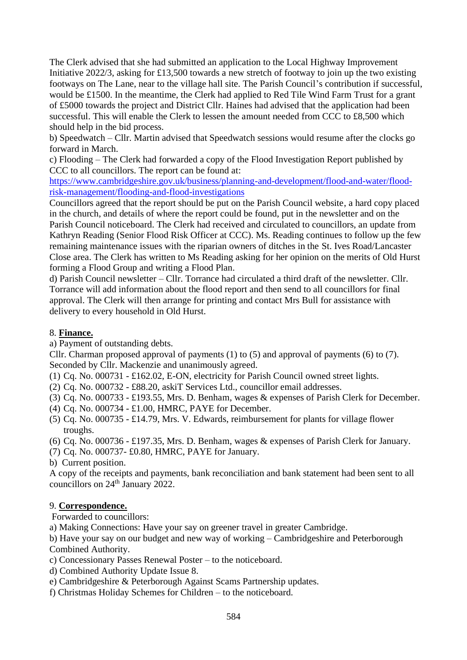The Clerk advised that she had submitted an application to the Local Highway Improvement Initiative 2022/3, asking for £13,500 towards a new stretch of footway to join up the two existing footways on The Lane, near to the village hall site. The Parish Council's contribution if successful, would be £1500. In the meantime, the Clerk had applied to Red Tile Wind Farm Trust for a grant of £5000 towards the project and District Cllr. Haines had advised that the application had been successful. This will enable the Clerk to lessen the amount needed from CCC to £8,500 which should help in the bid process.

b) Speedwatch – Cllr. Martin advised that Speedwatch sessions would resume after the clocks go forward in March.

c) Flooding – The Clerk had forwarded a copy of the Flood Investigation Report published by CCC to all councillors. The report can be found at:

[https://www.cambridgeshire.gov.uk/business/planning-and-development/flood-and-water/flood](https://www.cambridgeshire.gov.uk/business/planning-and-development/flood-and-water/flood-risk-management/flooding-and-flood-investigations)[risk-management/flooding-and-flood-investigations](https://www.cambridgeshire.gov.uk/business/planning-and-development/flood-and-water/flood-risk-management/flooding-and-flood-investigations)

Councillors agreed that the report should be put on the Parish Council website, a hard copy placed in the church, and details of where the report could be found, put in the newsletter and on the Parish Council noticeboard. The Clerk had received and circulated to councillors, an update from Kathryn Reading (Senior Flood Risk Officer at CCC). Ms. Reading continues to follow up the few remaining maintenance issues with the riparian owners of ditches in the St. Ives Road/Lancaster Close area. The Clerk has written to Ms Reading asking for her opinion on the merits of Old Hurst forming a Flood Group and writing a Flood Plan.

d) Parish Council newsletter – Cllr. Torrance had circulated a third draft of the newsletter. Cllr. Torrance will add information about the flood report and then send to all councillors for final approval. The Clerk will then arrange for printing and contact Mrs Bull for assistance with delivery to every household in Old Hurst.

## 8. **Finance.**

a) Payment of outstanding debts.

Cllr. Charman proposed approval of payments (1) to (5) and approval of payments (6) to (7). Seconded by Cllr. Mackenzie and unanimously agreed.

(1) Cq. No. 000731 - £162.02, E-ON, electricity for Parish Council owned street lights.

- (2) Cq. No. 000732 £88.20, askiT Services Ltd., councillor email addresses.
- (3) Cq. No. 000733 £193.55, Mrs. D. Benham, wages & expenses of Parish Clerk for December.
- (4) Cq. No. 000734 £1.00, HMRC, PAYE for December.
- (5) Cq. No. 000735 £14.79, Mrs. V. Edwards, reimbursement for plants for village flower troughs.
- (6) Cq. No. 000736 £197.35, Mrs. D. Benham, wages & expenses of Parish Clerk for January.
- (7) Cq. No. 000737- £0.80, HMRC, PAYE for January.

b) Current position.

A copy of the receipts and payments, bank reconciliation and bank statement had been sent to all councillors on 24<sup>th</sup> January 2022.

#### 9. **Correspondence.**

Forwarded to councillors:

a) Making Connections: Have your say on greener travel in greater Cambridge.

b) Have your say on our budget and new way of working – Cambridgeshire and Peterborough Combined Authority.

- c) Concessionary Passes Renewal Poster to the noticeboard.
- d) Combined Authority Update Issue 8.
- e) Cambridgeshire & Peterborough Against Scams Partnership updates.
- f) Christmas Holiday Schemes for Children to the noticeboard.